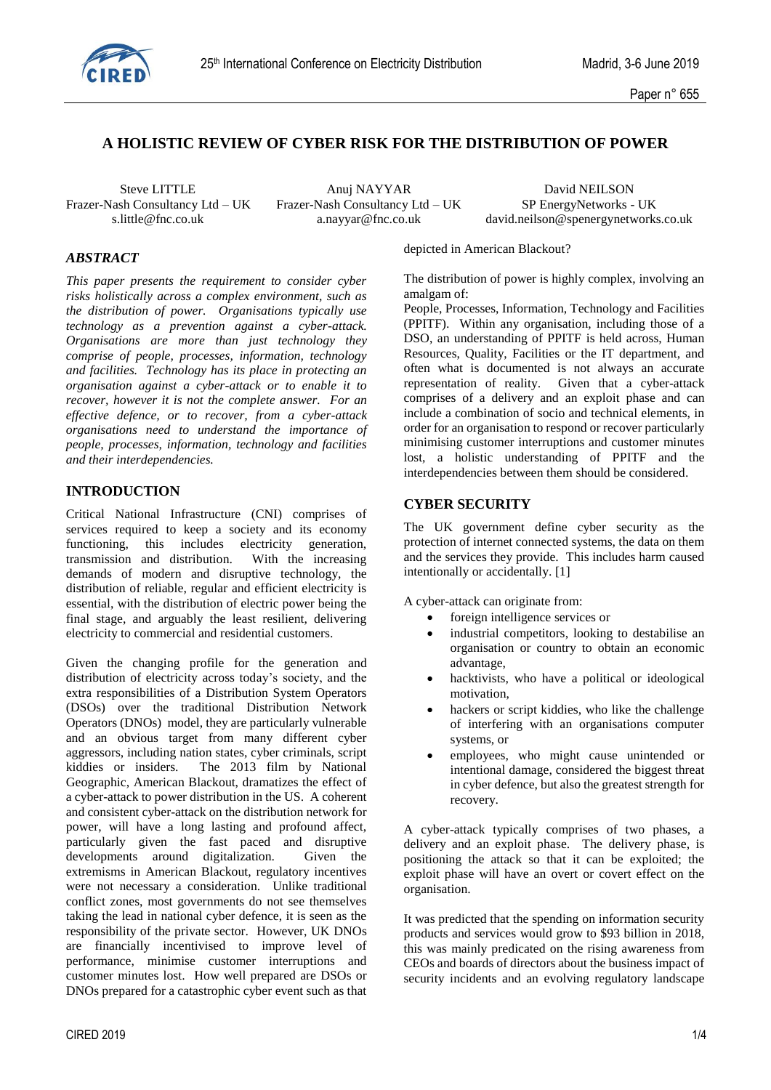

# **A HOLISTIC REVIEW OF CYBER RISK FOR THE DISTRIBUTION OF POWER**

Frazer-Nash Consultancy Ltd – UK Frazer-Nash Consultancy Ltd – UK SP EnergyNetworks - UK s.little @fnc.co.uk a.navyar @fnc.co.uk david.neilson @spenergynetworks

Steve LITTLE Anuj NAYYAR David NEILSON

david.neilson@spenergynetworks.co.uk

### *ABSTRACT*

*This paper presents the requirement to consider cyber risks holistically across a complex environment, such as the distribution of power. Organisations typically use technology as a prevention against a cyber-attack. Organisations are more than just technology they comprise of people, processes, information, technology and facilities. Technology has its place in protecting an organisation against a cyber-attack or to enable it to recover, however it is not the complete answer. For an effective defence, or to recover, from a cyber-attack organisations need to understand the importance of people, processes, information, technology and facilities and their interdependencies.*

### **INTRODUCTION**

Critical National Infrastructure (CNI) comprises of services required to keep a society and its economy functioning, this includes electricity generation, transmission and distribution. With the increasing demands of modern and disruptive technology, the distribution of reliable, regular and efficient electricity is essential, with the distribution of electric power being the final stage, and arguably the least resilient, delivering electricity to commercial and residential customers.

Given the changing profile for the generation and distribution of electricity across today's society, and the extra responsibilities of a Distribution System Operators (DSOs) over the traditional Distribution Network Operators (DNOs) model, they are particularly vulnerable and an obvious target from many different cyber aggressors, including nation states, cyber criminals, script kiddies or insiders. The 2013 film by National Geographic, American Blackout, dramatizes the effect of a cyber-attack to power distribution in the US. A coherent and consistent cyber-attack on the distribution network for power, will have a long lasting and profound affect, particularly given the fast paced and disruptive developments around digitalization. Given the extremisms in American Blackout, regulatory incentives were not necessary a consideration. Unlike traditional conflict zones, most governments do not see themselves taking the lead in national cyber defence, it is seen as the responsibility of the private sector. However, UK DNOs are financially incentivised to improve level of performance, minimise customer interruptions and customer minutes lost. How well prepared are DSOs or DNOs prepared for a catastrophic cyber event such as that depicted in American Blackout?

The distribution of power is highly complex, involving an amalgam of:

People, Processes, Information, Technology and Facilities (PPITF). Within any organisation, including those of a DSO, an understanding of PPITF is held across, Human Resources, Quality, Facilities or the IT department, and often what is documented is not always an accurate representation of reality. Given that a cyber-attack comprises of a delivery and an exploit phase and can include a combination of socio and technical elements, in order for an organisation to respond or recover particularly minimising customer interruptions and customer minutes lost, a holistic understanding of PPITF and the interdependencies between them should be considered.

#### **CYBER SECURITY**

The UK government define cyber security as the protection of internet connected systems, the data on them and the services they provide. This includes harm caused intentionally or accidentally. [1]

A cyber-attack can originate from:

- foreign intelligence services or
- industrial competitors, looking to destabilise an organisation or country to obtain an economic advantage,
- hacktivists, who have a political or ideological motivation,
- hackers or script kiddies, who like the challenge of interfering with an organisations computer systems, or
- employees, who might cause unintended or intentional damage, considered the biggest threat in cyber defence, but also the greatest strength for recovery.

A cyber-attack typically comprises of two phases, a delivery and an exploit phase. The delivery phase, is positioning the attack so that it can be exploited; the exploit phase will have an overt or covert effect on the organisation.

It was predicted that the spending on information security products and services would grow to \$93 billion in 2018, this was mainly predicated on the rising awareness from CEOs and boards of directors about the business impact of security incidents and an evolving regulatory landscape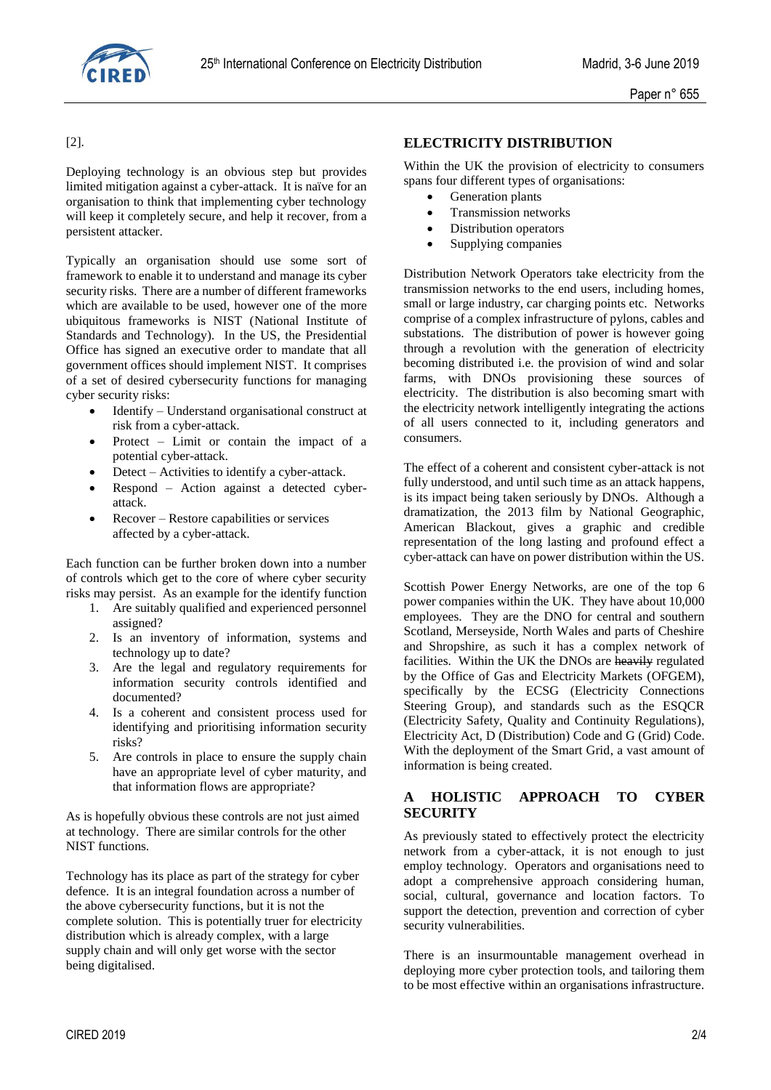

[2].

Deploying technology is an obvious step but provides limited mitigation against a cyber-attack. It is naïve for an organisation to think that implementing cyber technology will keep it completely secure, and help it recover, from a persistent attacker.

Typically an organisation should use some sort of framework to enable it to understand and manage its cyber security risks. There are a number of different frameworks which are available to be used, however one of the more ubiquitous frameworks is NIST (National Institute of Standards and Technology). In the US, the Presidential Office has signed an executive order to mandate that all government offices should implement NIST. It comprises of a set of desired cybersecurity functions for managing cyber security risks:

- Identify Understand organisational construct at risk from a cyber-attack.
- Protect Limit or contain the impact of a potential cyber-attack.
- Detect Activities to identify a cyber-attack.
- Respond Action against a detected cyberattack.
- Recover Restore capabilities or services affected by a cyber-attack.

Each function can be further broken down into a number of controls which get to the core of where cyber security risks may persist. As an example for the identify function

- 1. Are suitably qualified and experienced personnel assigned?
- 2. Is an inventory of information, systems and technology up to date?
- 3. Are the legal and regulatory requirements for information security controls identified and documented?
- 4. Is a coherent and consistent process used for identifying and prioritising information security risks?
- 5. Are controls in place to ensure the supply chain have an appropriate level of cyber maturity, and that information flows are appropriate?

As is hopefully obvious these controls are not just aimed at technology. There are similar controls for the other NIST functions.

Technology has its place as part of the strategy for cyber defence. It is an integral foundation across a number of the above cybersecurity functions, but it is not the complete solution. This is potentially truer for electricity distribution which is already complex, with a large supply chain and will only get worse with the sector being digitalised.

# **ELECTRICITY DISTRIBUTION**

Within the UK the provision of electricity to consumers spans four different types of organisations:

- Generation plants
- Transmission networks
- Distribution operators
- Supplying companies

Distribution Network Operators take electricity from the transmission networks to the end users, including homes, small or large industry, car charging points etc. Networks comprise of a complex infrastructure of pylons, cables and substations. The distribution of power is however going through a revolution with the generation of electricity becoming distributed i.e. the provision of wind and solar farms, with DNOs provisioning these sources of electricity. The distribution is also becoming smart with the electricity network intelligently integrating the actions of all users connected to it, including generators and consumers.

The effect of a coherent and consistent cyber-attack is not fully understood, and until such time as an attack happens, is its impact being taken seriously by DNOs. Although a dramatization, the 2013 film by National Geographic, American Blackout, gives a graphic and credible representation of the long lasting and profound effect a cyber-attack can have on power distribution within the US.

Scottish Power Energy Networks, are one of the top 6 power companies within the UK. They have about 10,000 employees. They are the DNO for central and southern Scotland, Merseyside, North Wales and parts of Cheshire and Shropshire, as such it has a complex network of facilities. Within the UK the DNOs are heavily regulated by the Office of Gas and Electricity Markets (OFGEM), specifically by the ECSG (Electricity Connections Steering Group), and standards such as the ESQCR (Electricity Safety, Quality and Continuity Regulations), Electricity Act, D (Distribution) Code and G (Grid) Code. With the deployment of the Smart Grid, a vast amount of information is being created.

# **A HOLISTIC APPROACH TO CYBER SECURITY**

As previously stated to effectively protect the electricity network from a cyber-attack, it is not enough to just employ technology. Operators and organisations need to adopt a comprehensive approach considering human, social, cultural, governance and location factors. To support the detection, prevention and correction of cyber security vulnerabilities.

There is an insurmountable management overhead in deploying more cyber protection tools, and tailoring them to be most effective within an organisations infrastructure.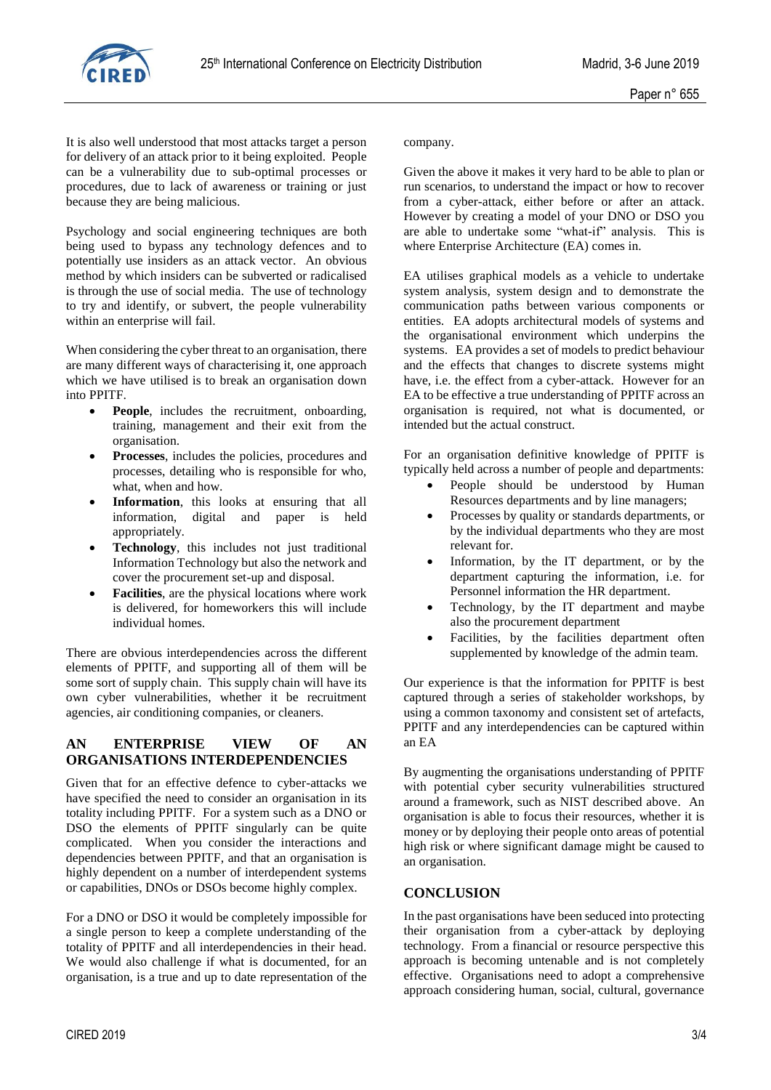

It is also well understood that most attacks target a person for delivery of an attack prior to it being exploited. People can be a vulnerability due to sub-optimal processes or procedures, due to lack of awareness or training or just because they are being malicious.

Psychology and social engineering techniques are both being used to bypass any technology defences and to potentially use insiders as an attack vector. An obvious method by which insiders can be subverted or radicalised is through the use of social media. The use of technology to try and identify, or subvert, the people vulnerability within an enterprise will fail.

When considering the cyber threat to an organisation, there are many different ways of characterising it, one approach which we have utilised is to break an organisation down into PPITF.

- **People**, includes the recruitment, onboarding, training, management and their exit from the organisation.
- **Processes**, includes the policies, procedures and processes, detailing who is responsible for who, what, when and how.
- **Information**, this looks at ensuring that all information, digital and paper is held appropriately.
- **Technology**, this includes not just traditional Information Technology but also the network and cover the procurement set-up and disposal.
- **Facilities**, are the physical locations where work is delivered, for homeworkers this will include individual homes.

There are obvious interdependencies across the different elements of PPITF, and supporting all of them will be some sort of supply chain. This supply chain will have its own cyber vulnerabilities, whether it be recruitment agencies, air conditioning companies, or cleaners.

### **AN ENTERPRISE VIEW OF AN ORGANISATIONS INTERDEPENDENCIES**

Given that for an effective defence to cyber-attacks we have specified the need to consider an organisation in its totality including PPITF. For a system such as a DNO or DSO the elements of PPITF singularly can be quite complicated. When you consider the interactions and dependencies between PPITF, and that an organisation is highly dependent on a number of interdependent systems or capabilities, DNOs or DSOs become highly complex.

For a DNO or DSO it would be completely impossible for a single person to keep a complete understanding of the totality of PPITF and all interdependencies in their head. We would also challenge if what is documented, for an organisation, is a true and up to date representation of the company.

Given the above it makes it very hard to be able to plan or run scenarios, to understand the impact or how to recover from a cyber-attack, either before or after an attack. However by creating a model of your DNO or DSO you are able to undertake some "what-if" analysis. This is where Enterprise Architecture (EA) comes in.

EA utilises graphical models as a vehicle to undertake system analysis, system design and to demonstrate the communication paths between various components or entities. EA adopts architectural models of systems and the organisational environment which underpins the systems. EA provides a set of models to predict behaviour and the effects that changes to discrete systems might have, i.e. the effect from a cyber-attack. However for an EA to be effective a true understanding of PPITF across an organisation is required, not what is documented, or intended but the actual construct.

For an organisation definitive knowledge of PPITF is typically held across a number of people and departments:

- People should be understood by Human Resources departments and by line managers;
- Processes by quality or standards departments, or by the individual departments who they are most relevant for.
- Information, by the IT department, or by the department capturing the information, i.e. for Personnel information the HR department.
- Technology, by the IT department and maybe also the procurement department
- Facilities, by the facilities department often supplemented by knowledge of the admin team.

Our experience is that the information for PPITF is best captured through a series of stakeholder workshops, by using a common taxonomy and consistent set of artefacts, PPITF and any interdependencies can be captured within an EA

By augmenting the organisations understanding of PPITF with potential cyber security vulnerabilities structured around a framework, such as NIST described above. An organisation is able to focus their resources, whether it is money or by deploying their people onto areas of potential high risk or where significant damage might be caused to an organisation.

### **CONCLUSION**

In the past organisations have been seduced into protecting their organisation from a cyber-attack by deploying technology. From a financial or resource perspective this approach is becoming untenable and is not completely effective. Organisations need to adopt a comprehensive approach considering human, social, cultural, governance